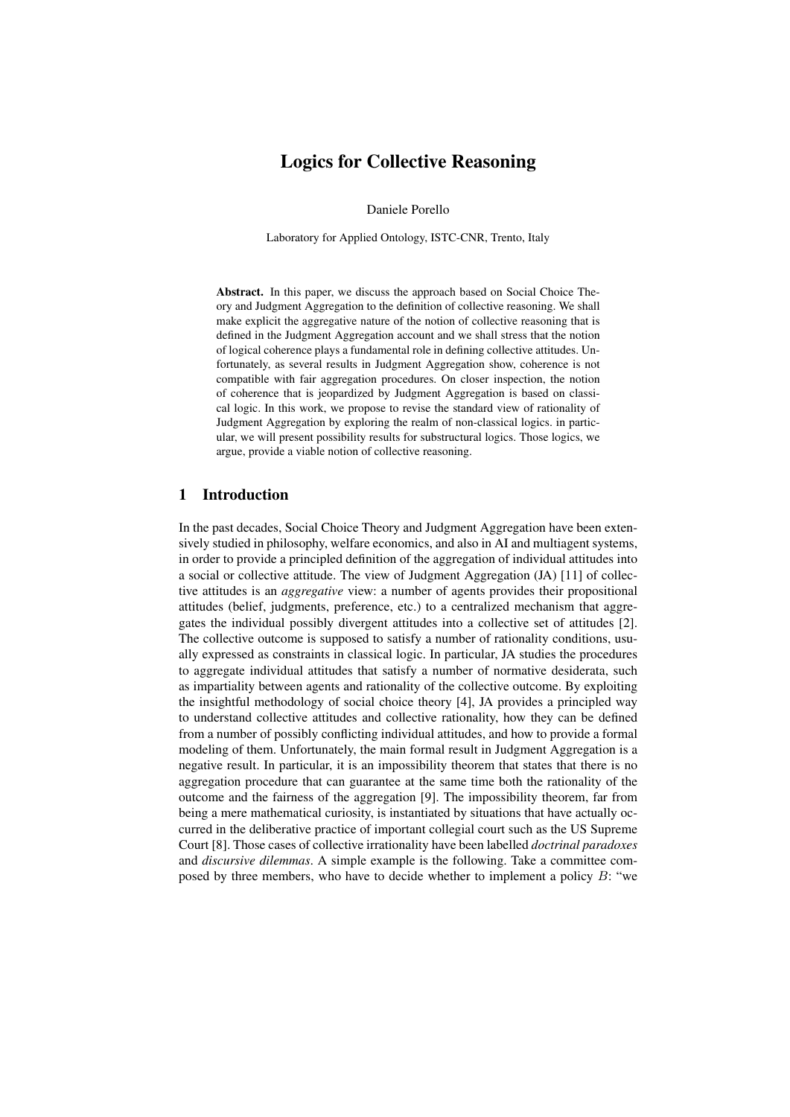# Logics for Collective Reasoning

Daniele Porello

Laboratory for Applied Ontology, ISTC-CNR, Trento, Italy

Abstract. In this paper, we discuss the approach based on Social Choice Theory and Judgment Aggregation to the definition of collective reasoning. We shall make explicit the aggregative nature of the notion of collective reasoning that is defined in the Judgment Aggregation account and we shall stress that the notion of logical coherence plays a fundamental role in defining collective attitudes. Unfortunately, as several results in Judgment Aggregation show, coherence is not compatible with fair aggregation procedures. On closer inspection, the notion of coherence that is jeopardized by Judgment Aggregation is based on classical logic. In this work, we propose to revise the standard view of rationality of Judgment Aggregation by exploring the realm of non-classical logics. in particular, we will present possibility results for substructural logics. Those logics, we argue, provide a viable notion of collective reasoning.

### 1 Introduction

In the past decades, Social Choice Theory and Judgment Aggregation have been extensively studied in philosophy, welfare economics, and also in AI and multiagent systems, in order to provide a principled definition of the aggregation of individual attitudes into a social or collective attitude. The view of Judgment Aggregation (JA) [11] of collective attitudes is an *aggregative* view: a number of agents provides their propositional attitudes (belief, judgments, preference, etc.) to a centralized mechanism that aggregates the individual possibly divergent attitudes into a collective set of attitudes [2]. The collective outcome is supposed to satisfy a number of rationality conditions, usually expressed as constraints in classical logic. In particular, JA studies the procedures to aggregate individual attitudes that satisfy a number of normative desiderata, such as impartiality between agents and rationality of the collective outcome. By exploiting the insightful methodology of social choice theory [4], JA provides a principled way to understand collective attitudes and collective rationality, how they can be defined from a number of possibly conflicting individual attitudes, and how to provide a formal modeling of them. Unfortunately, the main formal result in Judgment Aggregation is a negative result. In particular, it is an impossibility theorem that states that there is no aggregation procedure that can guarantee at the same time both the rationality of the outcome and the fairness of the aggregation [9]. The impossibility theorem, far from being a mere mathematical curiosity, is instantiated by situations that have actually occurred in the deliberative practice of important collegial court such as the US Supreme Court [8]. Those cases of collective irrationality have been labelled *doctrinal paradoxes* and *discursive dilemmas*. A simple example is the following. Take a committee composed by three members, who have to decide whether to implement a policy  $B$ : "we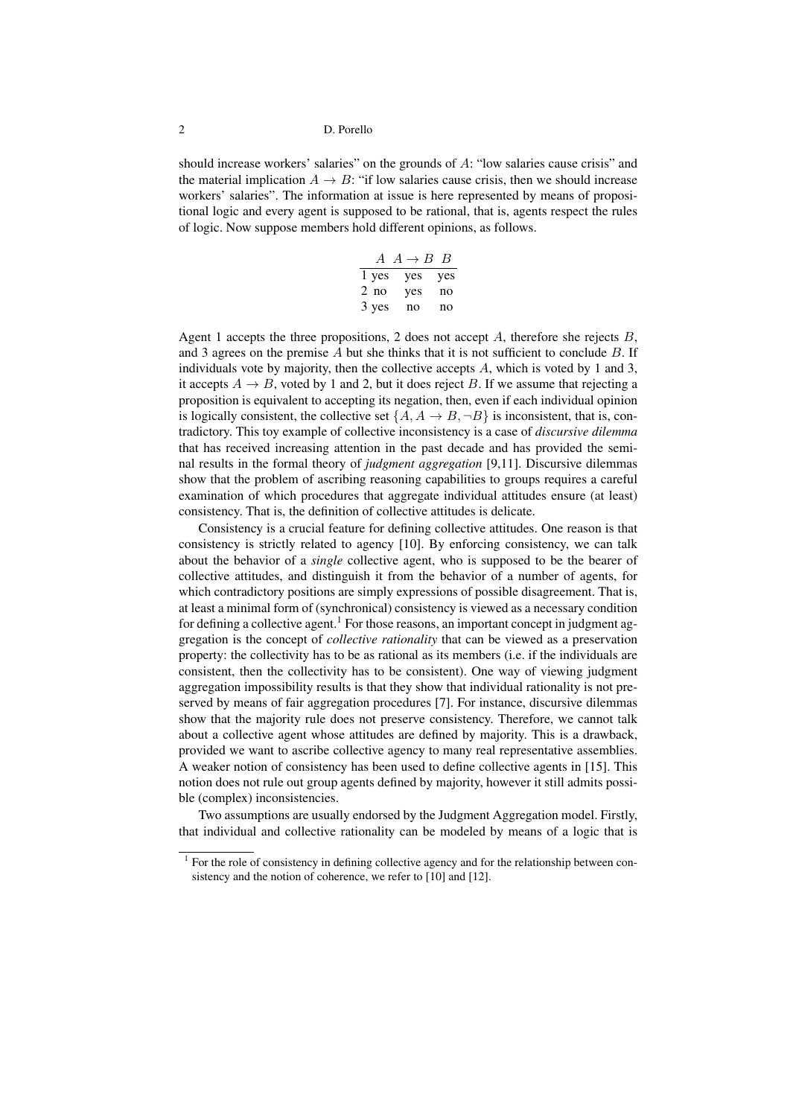should increase workers' salaries" on the grounds of A: "low salaries cause crisis" and the material implication  $A \rightarrow B$ : "if low salaries cause crisis, then we should increase workers' salaries". The information at issue is here represented by means of propositional logic and every agent is supposed to be rational, that is, agents respect the rules of logic. Now suppose members hold different opinions, as follows.

| $\overline{A}$ | $A \rightarrow B$ | $\mathcal{B}$ |
|----------------|-------------------|---------------|
| 1 yes          | yes               | yes           |
| $2$ no         | yes               | no            |
| 3 yes          | no                | no            |

Agent 1 accepts the three propositions, 2 does not accept  $A$ , therefore she rejects  $B$ , and 3 agrees on the premise  $A$  but she thinks that it is not sufficient to conclude  $B$ . If individuals vote by majority, then the collective accepts A, which is voted by 1 and 3, it accepts  $A \rightarrow B$ , voted by 1 and 2, but it does reject B. If we assume that rejecting a proposition is equivalent to accepting its negation, then, even if each individual opinion is logically consistent, the collective set  $\{A, A \rightarrow B, \neg B\}$  is inconsistent, that is, contradictory. This toy example of collective inconsistency is a case of *discursive dilemma* that has received increasing attention in the past decade and has provided the seminal results in the formal theory of *judgment aggregation* [9,11]. Discursive dilemmas show that the problem of ascribing reasoning capabilities to groups requires a careful examination of which procedures that aggregate individual attitudes ensure (at least) consistency. That is, the definition of collective attitudes is delicate.

Consistency is a crucial feature for defining collective attitudes. One reason is that consistency is strictly related to agency [10]. By enforcing consistency, we can talk about the behavior of a *single* collective agent, who is supposed to be the bearer of collective attitudes, and distinguish it from the behavior of a number of agents, for which contradictory positions are simply expressions of possible disagreement. That is, at least a minimal form of (synchronical) consistency is viewed as a necessary condition for defining a collective agent.<sup>1</sup> For those reasons, an important concept in judgment aggregation is the concept of *collective rationality* that can be viewed as a preservation property: the collectivity has to be as rational as its members (i.e. if the individuals are consistent, then the collectivity has to be consistent). One way of viewing judgment aggregation impossibility results is that they show that individual rationality is not preserved by means of fair aggregation procedures [7]. For instance, discursive dilemmas show that the majority rule does not preserve consistency. Therefore, we cannot talk about a collective agent whose attitudes are defined by majority. This is a drawback, provided we want to ascribe collective agency to many real representative assemblies. A weaker notion of consistency has been used to define collective agents in [15]. This notion does not rule out group agents defined by majority, however it still admits possible (complex) inconsistencies.

Two assumptions are usually endorsed by the Judgment Aggregation model. Firstly, that individual and collective rationality can be modeled by means of a logic that is

<sup>&</sup>lt;sup>1</sup> For the role of consistency in defining collective agency and for the relationship between consistency and the notion of coherence, we refer to [10] and [12].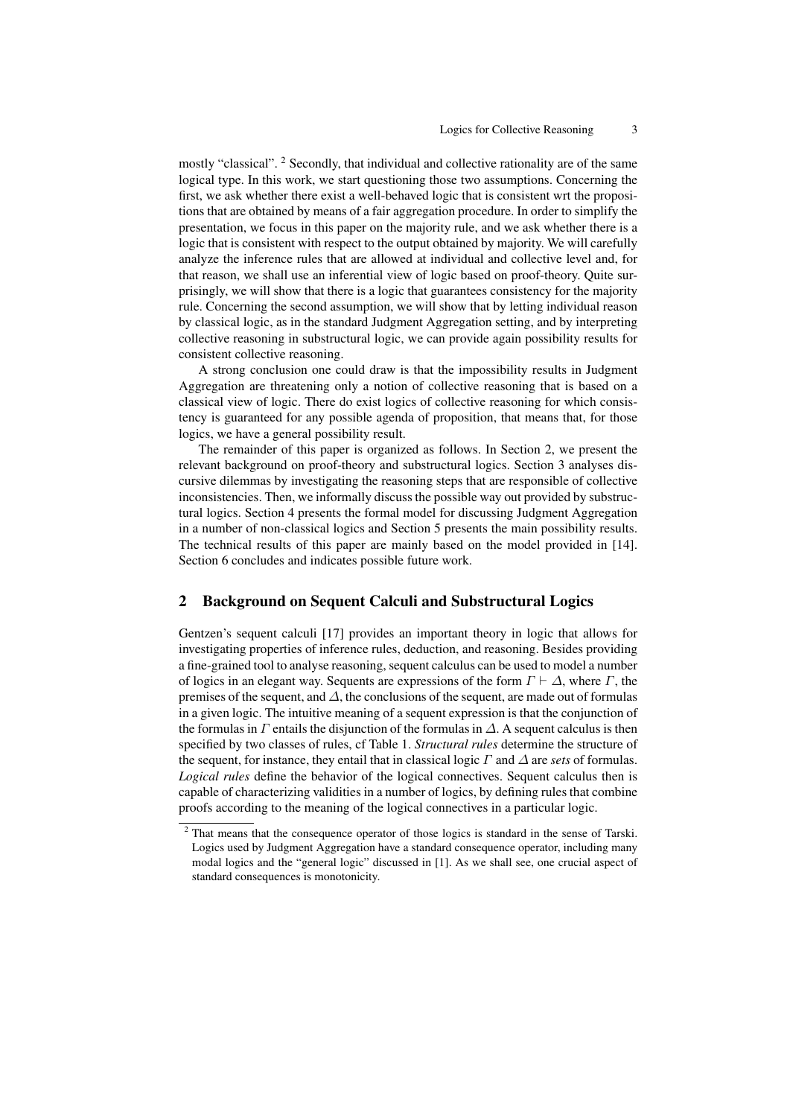mostly "classical". <sup>2</sup> Secondly, that individual and collective rationality are of the same logical type. In this work, we start questioning those two assumptions. Concerning the first, we ask whether there exist a well-behaved logic that is consistent wrt the propositions that are obtained by means of a fair aggregation procedure. In order to simplify the presentation, we focus in this paper on the majority rule, and we ask whether there is a logic that is consistent with respect to the output obtained by majority. We will carefully analyze the inference rules that are allowed at individual and collective level and, for that reason, we shall use an inferential view of logic based on proof-theory. Quite surprisingly, we will show that there is a logic that guarantees consistency for the majority rule. Concerning the second assumption, we will show that by letting individual reason by classical logic, as in the standard Judgment Aggregation setting, and by interpreting collective reasoning in substructural logic, we can provide again possibility results for consistent collective reasoning.

A strong conclusion one could draw is that the impossibility results in Judgment Aggregation are threatening only a notion of collective reasoning that is based on a classical view of logic. There do exist logics of collective reasoning for which consistency is guaranteed for any possible agenda of proposition, that means that, for those logics, we have a general possibility result.

The remainder of this paper is organized as follows. In Section 2, we present the relevant background on proof-theory and substructural logics. Section 3 analyses discursive dilemmas by investigating the reasoning steps that are responsible of collective inconsistencies. Then, we informally discuss the possible way out provided by substructural logics. Section 4 presents the formal model for discussing Judgment Aggregation in a number of non-classical logics and Section 5 presents the main possibility results. The technical results of this paper are mainly based on the model provided in [14]. Section 6 concludes and indicates possible future work.

# 2 Background on Sequent Calculi and Substructural Logics

Gentzen's sequent calculi [17] provides an important theory in logic that allows for investigating properties of inference rules, deduction, and reasoning. Besides providing a fine-grained tool to analyse reasoning, sequent calculus can be used to model a number of logics in an elegant way. Sequents are expressions of the form  $\Gamma \vdash \Delta$ , where  $\Gamma$ , the premises of the sequent, and  $\Delta$ , the conclusions of the sequent, are made out of formulas in a given logic. The intuitive meaning of a sequent expression is that the conjunction of the formulas in  $\Gamma$  entails the disjunction of the formulas in  $\Delta$ . A sequent calculus is then specified by two classes of rules, cf Table 1. *Structural rules* determine the structure of the sequent, for instance, they entail that in classical logic  $\Gamma$  and  $\Delta$  are *sets* of formulas. *Logical rules* define the behavior of the logical connectives. Sequent calculus then is capable of characterizing validities in a number of logics, by defining rules that combine proofs according to the meaning of the logical connectives in a particular logic.

<sup>&</sup>lt;sup>2</sup> That means that the consequence operator of those logics is standard in the sense of Tarski. Logics used by Judgment Aggregation have a standard consequence operator, including many modal logics and the "general logic" discussed in [1]. As we shall see, one crucial aspect of standard consequences is monotonicity.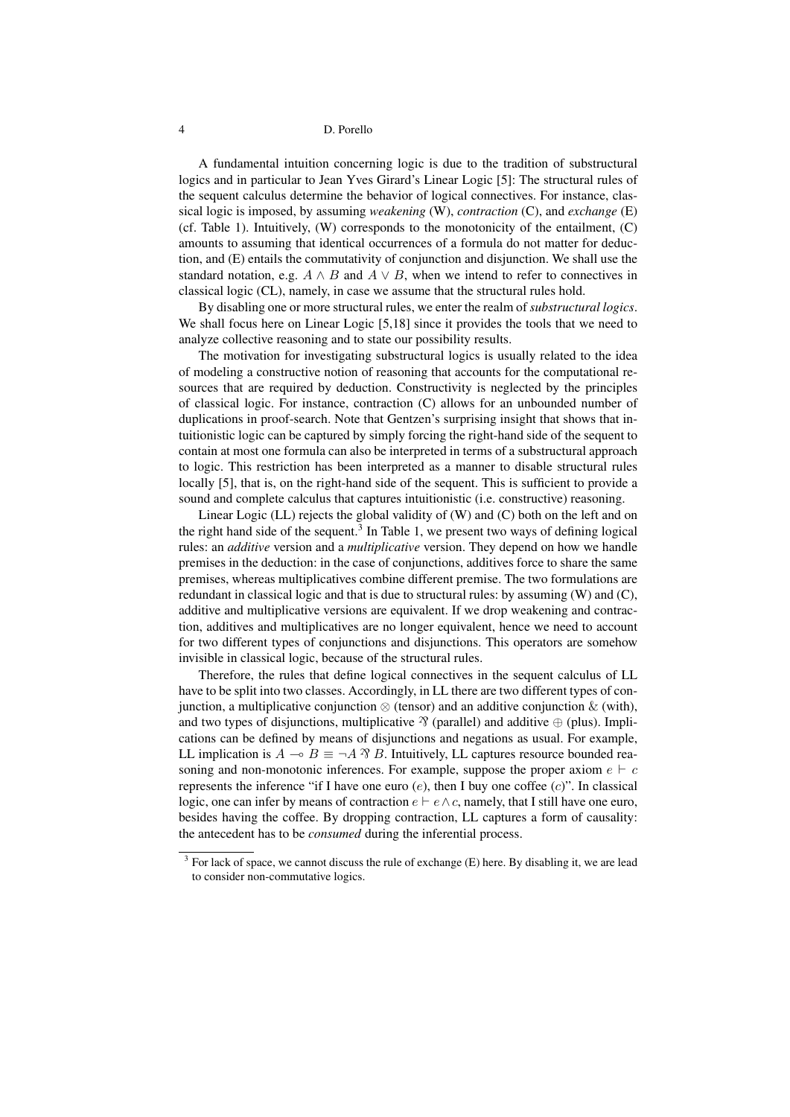A fundamental intuition concerning logic is due to the tradition of substructural logics and in particular to Jean Yves Girard's Linear Logic [5]: The structural rules of the sequent calculus determine the behavior of logical connectives. For instance, classical logic is imposed, by assuming *weakening* (W), *contraction* (C), and *exchange* (E) (cf. Table 1). Intuitively, (W) corresponds to the monotonicity of the entailment, (C) amounts to assuming that identical occurrences of a formula do not matter for deduction, and (E) entails the commutativity of conjunction and disjunction. We shall use the standard notation, e.g.  $A \wedge B$  and  $A \vee B$ , when we intend to refer to connectives in classical logic (CL), namely, in case we assume that the structural rules hold.

By disabling one or more structural rules, we enter the realm of *substructural logics*. We shall focus here on Linear Logic [5,18] since it provides the tools that we need to analyze collective reasoning and to state our possibility results.

The motivation for investigating substructural logics is usually related to the idea of modeling a constructive notion of reasoning that accounts for the computational resources that are required by deduction. Constructivity is neglected by the principles of classical logic. For instance, contraction (C) allows for an unbounded number of duplications in proof-search. Note that Gentzen's surprising insight that shows that intuitionistic logic can be captured by simply forcing the right-hand side of the sequent to contain at most one formula can also be interpreted in terms of a substructural approach to logic. This restriction has been interpreted as a manner to disable structural rules locally [5], that is, on the right-hand side of the sequent. This is sufficient to provide a sound and complete calculus that captures intuitionistic (i.e. constructive) reasoning.

Linear Logic (LL) rejects the global validity of (W) and (C) both on the left and on the right hand side of the sequent.<sup>3</sup> In Table 1, we present two ways of defining logical rules: an *additive* version and a *multiplicative* version. They depend on how we handle premises in the deduction: in the case of conjunctions, additives force to share the same premises, whereas multiplicatives combine different premise. The two formulations are redundant in classical logic and that is due to structural rules: by assuming (W) and (C), additive and multiplicative versions are equivalent. If we drop weakening and contraction, additives and multiplicatives are no longer equivalent, hence we need to account for two different types of conjunctions and disjunctions. This operators are somehow invisible in classical logic, because of the structural rules.

Therefore, the rules that define logical connectives in the sequent calculus of LL have to be split into two classes. Accordingly, in LL there are two different types of conjunction, a multiplicative conjunction  $\otimes$  (tensor) and an additive conjunction  $\&$  (with), and two types of disjunctions, multiplicative  $\mathcal{R}$  (parallel) and additive  $\oplus$  (plus). Implications can be defined by means of disjunctions and negations as usual. For example, LL implication is  $A \to B \equiv \neg A \, \hat{\mathcal{B}} \, B$ . Intuitively, LL captures resource bounded reasoning and non-monotonic inferences. For example, suppose the proper axiom  $e \vdash c$ represents the inference "if I have one euro  $(e)$ , then I buy one coffee  $(c)$ ". In classical logic, one can infer by means of contraction  $e \vdash e \land c$ , namely, that I still have one euro, besides having the coffee. By dropping contraction, LL captures a form of causality: the antecedent has to be *consumed* during the inferential process.

 $3$  For lack of space, we cannot discuss the rule of exchange (E) here. By disabling it, we are lead to consider non-commutative logics.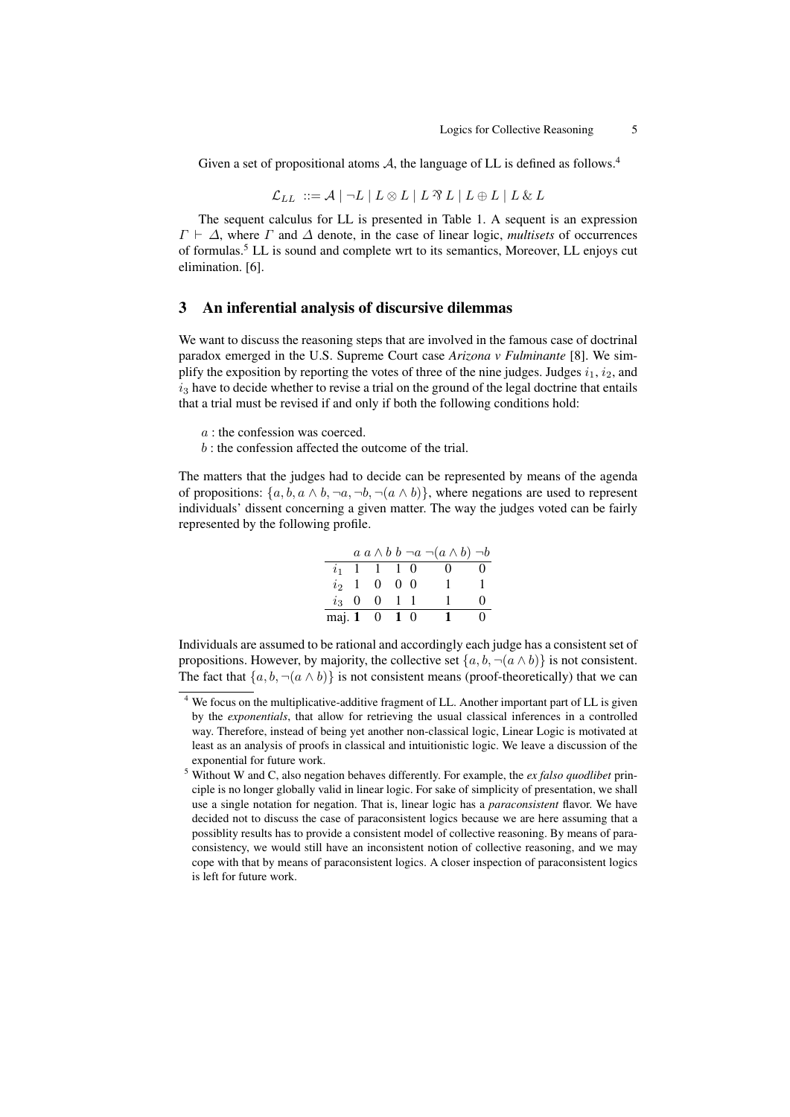Given a set of propositional atoms A, the language of LL is defined as follows.<sup>4</sup>

$$
\mathcal{L}_{LL} \ ::= \mathcal{A} \mid \neg L \mid L \otimes L \mid L \otimes L \mid L \oplus L \mid L \otimes L
$$

The sequent calculus for LL is presented in Table 1. A sequent is an expression  $\Gamma \vdash \Delta$ , where  $\Gamma$  and  $\Delta$  denote, in the case of linear logic, *multisets* of occurrences of formulas.<sup>5</sup> LL is sound and complete wrt to its semantics, Moreover, LL enjoys cut elimination. [6].

# 3 An inferential analysis of discursive dilemmas

We want to discuss the reasoning steps that are involved in the famous case of doctrinal paradox emerged in the U.S. Supreme Court case *Arizona v Fulminante* [8]. We simplify the exposition by reporting the votes of three of the nine judges. Judges  $i_1$ ,  $i_2$ , and  $i_3$  have to decide whether to revise a trial on the ground of the legal doctrine that entails that a trial must be revised if and only if both the following conditions hold:

- $a$ : the confession was coerced.
- $b$ : the confession affected the outcome of the trial.

The matters that the judges had to decide can be represented by means of the agenda of propositions:  $\{a, b, a \wedge b, \neg a, \neg b, \neg (a \wedge b)\}$ , where negations are used to represent individuals' dissent concerning a given matter. The way the judges voted can be fairly represented by the following profile.

|                |              |                         |  | $a \wedge b \mid b \neg a \neg (a \wedge b) \neg b$ |                   |
|----------------|--------------|-------------------------|--|-----------------------------------------------------|-------------------|
| i <sub>1</sub> | $\mathbf{1}$ | 1 1 0                   |  | $^{(1)}$                                            | $\mathbf{\Omega}$ |
| $i_{2}$        | $\mathbf{1}$ | $0 \quad 0 \quad 0$     |  |                                                     |                   |
| $i_{3}$ 0      |              | $0 \t1 \t1$             |  |                                                     | $\mathbf{\Omega}$ |
|                |              | maj. $1 \t 0 \t 1 \t 0$ |  |                                                     | 0                 |

Individuals are assumed to be rational and accordingly each judge has a consistent set of propositions. However, by majority, the collective set  $\{a, b, \neg(a \wedge b)\}\$ is not consistent. The fact that  ${a, b, \neg (a \land b)}$  is not consistent means (proof-theoretically) that we can

<sup>4</sup> We focus on the multiplicative-additive fragment of LL. Another important part of LL is given by the *exponentials*, that allow for retrieving the usual classical inferences in a controlled way. Therefore, instead of being yet another non-classical logic, Linear Logic is motivated at least as an analysis of proofs in classical and intuitionistic logic. We leave a discussion of the exponential for future work.

<sup>5</sup> Without W and C, also negation behaves differently. For example, the *ex falso quodlibet* principle is no longer globally valid in linear logic. For sake of simplicity of presentation, we shall use a single notation for negation. That is, linear logic has a *paraconsistent* flavor. We have decided not to discuss the case of paraconsistent logics because we are here assuming that a possiblity results has to provide a consistent model of collective reasoning. By means of paraconsistency, we would still have an inconsistent notion of collective reasoning, and we may cope with that by means of paraconsistent logics. A closer inspection of paraconsistent logics is left for future work.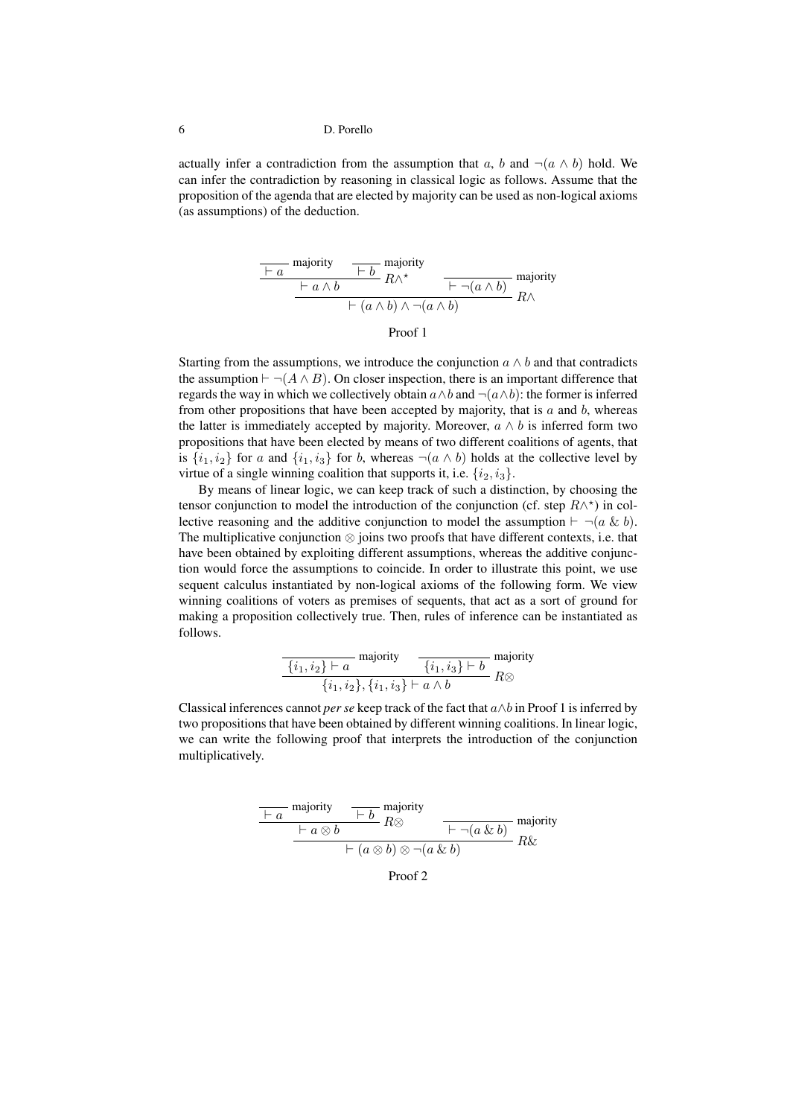actually infer a contradiction from the assumption that a, b and  $\neg(a \land b)$  hold. We can infer the contradiction by reasoning in classical logic as follows. Assume that the proposition of the agenda that are elected by majority can be used as non-logical axioms (as assumptions) of the deduction.

$$
\frac{\begin{array}{c|c}\n\hline\n\end{array}}\n\text{majority} \quad\n\begin{array}{c|c}\n\hline\n\end{array}\n\quad\n\begin{array}{c}\n\hline\n\end{array}\n\quad R \wedge^{\star} \quad\n\begin{array}{c}\n\hline\n\end{array}\n\quad\n\begin{array}{c}\n\hline\n\end{array}\n\quad \text{majority} \\
\hline\n\end{array}\n\quad\n\begin{array}{c}\n\hline\n\end{array}\n\quad\n\begin{array}{c}\n\hline\n\end{array}\n\quad R \wedge\n\end{array}
$$

Proof 1

Starting from the assumptions, we introduce the conjunction  $a \wedge b$  and that contradicts the assumption  $\vdash \neg(A \land B)$ . On closer inspection, there is an important difference that regards the way in which we collectively obtain  $a \wedge b$  and  $\neg(a \wedge b)$ : the former is inferred from other propositions that have been accepted by majority, that is  $a$  and  $b$ , whereas the latter is immediately accepted by majority. Moreover,  $a \wedge b$  is inferred form two propositions that have been elected by means of two different coalitions of agents, that is  $\{i_1, i_2\}$  for a and  $\{i_1, i_3\}$  for b, whereas  $\neg(a \wedge b)$  holds at the collective level by virtue of a single winning coalition that supports it, i.e.  $\{i_2, i_3\}$ .

By means of linear logic, we can keep track of such a distinction, by choosing the tensor conjunction to model the introduction of the conjunction (cf. step  $R \wedge^*$ ) in collective reasoning and the additive conjunction to model the assumption  $\vdash \neg(a \& b)$ . The multiplicative conjunction ⊗ joins two proofs that have different contexts, i.e. that have been obtained by exploiting different assumptions, whereas the additive conjunction would force the assumptions to coincide. In order to illustrate this point, we use sequent calculus instantiated by non-logical axioms of the following form. We view winning coalitions of voters as premises of sequents, that act as a sort of ground for making a proposition collectively true. Then, rules of inference can be instantiated as follows.

$$
\frac{\{i_1, i_2\} \vdash a}{\{i_1, i_2\}, \{i_1, i_3\} \vdash a \land b} \text{ majority}
$$

$$
\frac{\{i_1, i_3\} \vdash b}{\{i_1, i_2\}, \{i_1, i_3\} \vdash a \land b} R \otimes
$$

Classical inferences cannot *per se* keep track of the fact that a∧b in Proof 1 is inferred by two propositions that have been obtained by different winning coalitions. In linear logic, we can write the following proof that interprets the introduction of the conjunction multiplicatively.

$$
\frac{\overline{a} + a \text{ majority}}{\overline{a} + a \otimes b} \xrightarrow{F \text{ majority}} R \otimes \overline{a \otimes b}
$$
\n
$$
\xrightarrow{F \text{ (a} \otimes b) \otimes \neg(a \& b)} R \& R
$$
\n
$$
R \& R
$$

Proof 2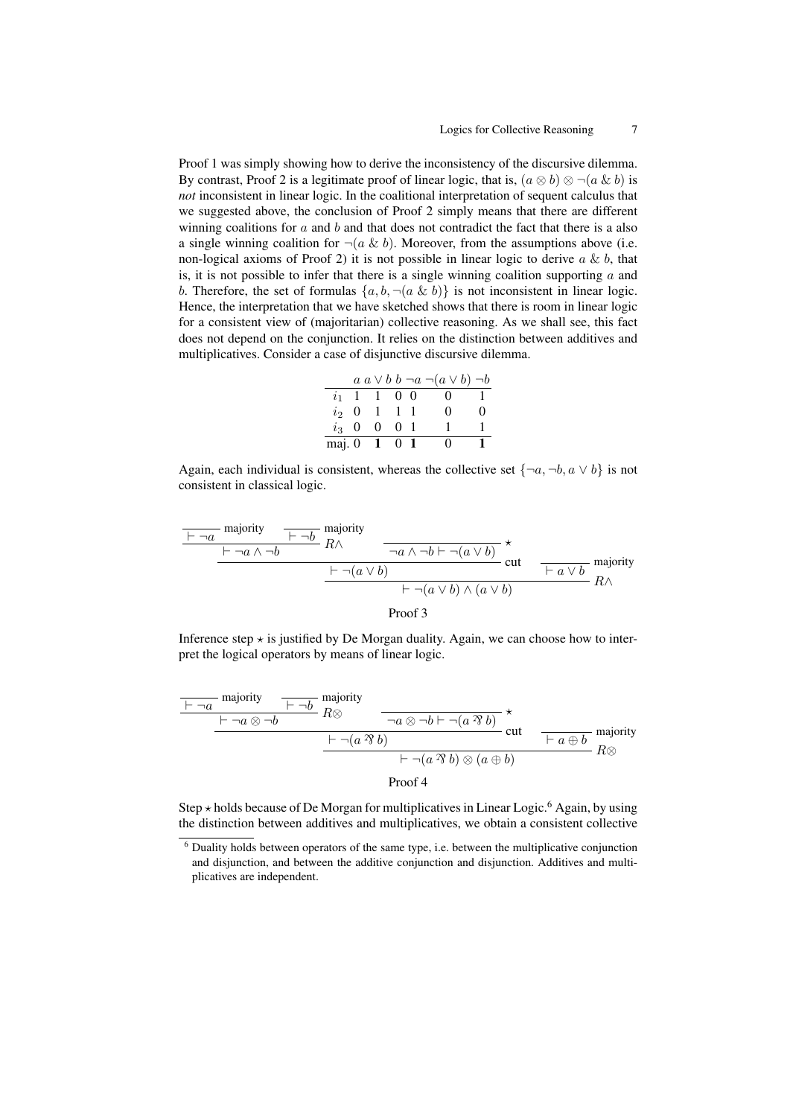Proof 1 was simply showing how to derive the inconsistency of the discursive dilemma. By contrast, Proof 2 is a legitimate proof of linear logic, that is,  $(a \otimes b) \otimes \neg(a \& b)$  is *not* inconsistent in linear logic. In the coalitional interpretation of sequent calculus that we suggested above, the conclusion of Proof 2 simply means that there are different winning coalitions for  $\alpha$  and  $\beta$  and that does not contradict the fact that there is a also a single winning coalition for  $\neg(a \& b)$ . Moreover, from the assumptions above (i.e. non-logical axioms of Proof 2) it is not possible in linear logic to derive  $a \& b$ , that is, it is not possible to infer that there is a single winning coalition supporting  $\alpha$  and b. Therefore, the set of formulas  $\{a, b, \neg(a \& b)\}\$ is not inconsistent in linear logic. Hence, the interpretation that we have sketched shows that there is room in linear logic for a consistent view of (majoritarian) collective reasoning. As we shall see, this fact does not depend on the conjunction. It relies on the distinction between additives and multiplicatives. Consider a case of disjunctive discursive dilemma.

|         |                     |  | $a \alpha \vee b \beta \neg a \neg (a \vee b) \neg b$ |                   |
|---------|---------------------|--|-------------------------------------------------------|-------------------|
|         | $i_1$ 1 1 0 0       |  | $\left( \right)$                                      |                   |
|         | $i_2$ 0 1 1 1       |  | $\mathbf{\Omega}$                                     | $\mathbf{\Omega}$ |
| $i_3$ 0 | $0 \quad 0 \quad 1$ |  |                                                       |                   |
|         | maj. 0 1 0 1        |  | $^{\circ}$                                            |                   |

Again, each individual is consistent, whereas the collective set  $\{\neg a, \neg b, a \lor b\}$  is not consistent in classical logic.

$$
\frac{\frac{\text{F}\rightarrow a \text{ majority}}{\text{F}\rightarrow a \land \neg b} \text{ majority}}{\text{F}\rightarrow a \land \neg b} \times \text{cut} \quad \frac{\text{F}\rightarrow a \land \neg b \text{ } \text{F}\rightarrow (a \lor b)}{\text{F}\rightarrow (a \lor b)} \text{ cut} \quad \frac{\text{F}\rightarrow a \land \text{F}\rightarrow b}{\text{F}\rightarrow (a \lor b) \land (a \lor b)} \text{R}\land \frac{\text{F}\rightarrow a \lor b}{\text{F}\rightarrow (a \lor b) \land (a \lor b)} \text{R}\land \frac{\text{F}\rightarrow a \lor b}{\text{F}\rightarrow a} \text{R}\land \frac{\text{F}\rightarrow a \lor b}{\text{F}\rightarrow a} \text{R}\land \frac{\text{F}\rightarrow a \lor b}{\text{F}\rightarrow a} \text{R}\land \frac{\text{F}\rightarrow a \lor b}{\text{F}\rightarrow a} \text{R}\land \frac{\text{F}\rightarrow a \lor b}{\text{F}\rightarrow a} \text{R}\land \frac{\text{F}\rightarrow a \land \text{F}\rightarrow b}{\text{F}\rightarrow a} \text{R}\land \frac{\text{F}\rightarrow a \land \text{F}\rightarrow b}{\text{F}\rightarrow a} \text{R}\land \frac{\text{F}\rightarrow a \land \text{F}\rightarrow b}{\text{F}\rightarrow a} \text{R}\land \frac{\text{F}\rightarrow a \land \text{F}\rightarrow b}{\text{F}\rightarrow a} \text{R}\land \frac{\text{F}\rightarrow a \land \text{F}\rightarrow b}{\text{F}\rightarrow a} \text{R}\land \frac{\text{F}\rightarrow a \land \text{F}\rightarrow b}{\text{F}\rightarrow a} \text{R}\land \frac{\text{F}\rightarrow a \land \text{F}\rightarrow b}{\text{F}\rightarrow a} \text{R}\land \frac{\text{F}\rightarrow a \land \text{F}\rightarrow b}{\text{F}\rightarrow a} \text{R}\land \frac{\text{F}\rightarrow a \land \text{F}\rightarrow b}{\text{F}\rightarrow a} \text{R}\land \frac{\text{F}\rightarrow a \land \text{F}\rightarrow b}{\text{F}\rightarrow a} \text{R}\land \frac{\text{F}\rightarrow a \lor b}{\text{F}\rightarrow a} \text{R}\land \frac{\text{F}\rightarrow a \lor b}{\text{F}\rightarrow a} \text{R}\land \frac{\text{F}\rightarrow a \lor b}{\text{F}\rightarrow a} \text{R}\land \frac{\text{F}\rightarrow a \lor b}{\text{F}\rightarrow a} \text{R
$$

Inference step  $\star$  is justified by De Morgan duality. Again, we can choose how to interpret the logical operators by means of linear logic.

$$
\frac{\begin{array}{c|c}\n\hline\n\end{array}}{\begin{array}{c|c}\n\hline\n\end{array}}\n\text{ majority} &\overline{\phantom{0}}\begin{array}{c}\n\hline\n\end{array}}\n\begin{array}{c}\n\hline\n\end{array}\n\begin{array}{c}\n\hline\n\end{array}\n\begin{array}{c}\n\hline\n\end{array}\n\end{array}\n\begin{array}{c}\n\hline\n\end{array}\n\begin{array}{c}\n\hline\n\end{array}\n\begin{array}{c}\n\hline\n\end{array}\n\end{array}\n\begin{array}{c}\n\hline\n\end{array}\n\begin{array}{c}\n\hline\n\end{array}\n\begin{array}{c}\n\hline\n\end{array}\n\end{array}\n\begin{array}{c}\n\hline\n\end{array}\n\begin{array}{c}\n\hline\n\end{array}\n\begin{array}{c}\n\hline\n\end{array}\n\end{array}\n\begin{array}{c}\n\hline\n\end{array}\n\begin{array}{c}\n\hline\n\end{array}\n\end{array}\n\begin{array}{c}\n\hline\n\end{array}\n\begin{array}{c}\n\hline\n\end{array}\n\end{array}\n\begin{array}{c}\n\hline\n\end{array}\n\begin{array}{c}\n\hline\n\end{array}\n\end{array}\n\begin{array}{c}\n\hline\n\end{array}\n\begin{array}{c}\n\hline\n\end{array}\n\end{array}\n\begin{array}{c}\n\hline\n\end{array}\n\begin{array}{c}\n\hline\n\end{array}\n\end{array}\n\begin{array}{c}\n\hline\n\end{array}\n\begin{array}{c}\n\hline\n\end{array}\n\end{array}\n\begin{array}{c}\n\hline\n\end{array}\n\begin{array}{c}\n\hline\n\end{array}\n\end{array}\n\begin{array}{c}\n\hline\n\end{array}\n\begin{array}{c}\n\hline\n\end{array}\n\begin{array}{c}\n\hline\n\end{array}\n\end{array}\n\begin{array}{c}\n\hline\n\end{array}\n\begin{array}{c}\n\hline\n\end{array}\n\end{array}\n\begin{array}{c}\n\hline\n\end{array}\n\begin{array}{c}\n\hline\n\end{array}\n\end{array}\n\begin{array}{c
$$

Step  $\star$  holds because of De Morgan for multiplicatives in Linear Logic.<sup>6</sup> Again, by using the distinction between additives and multiplicatives, we obtain a consistent collective

 $6$  Duality holds between operators of the same type, i.e. between the multiplicative conjunction and disjunction, and between the additive conjunction and disjunction. Additives and multiplicatives are independent.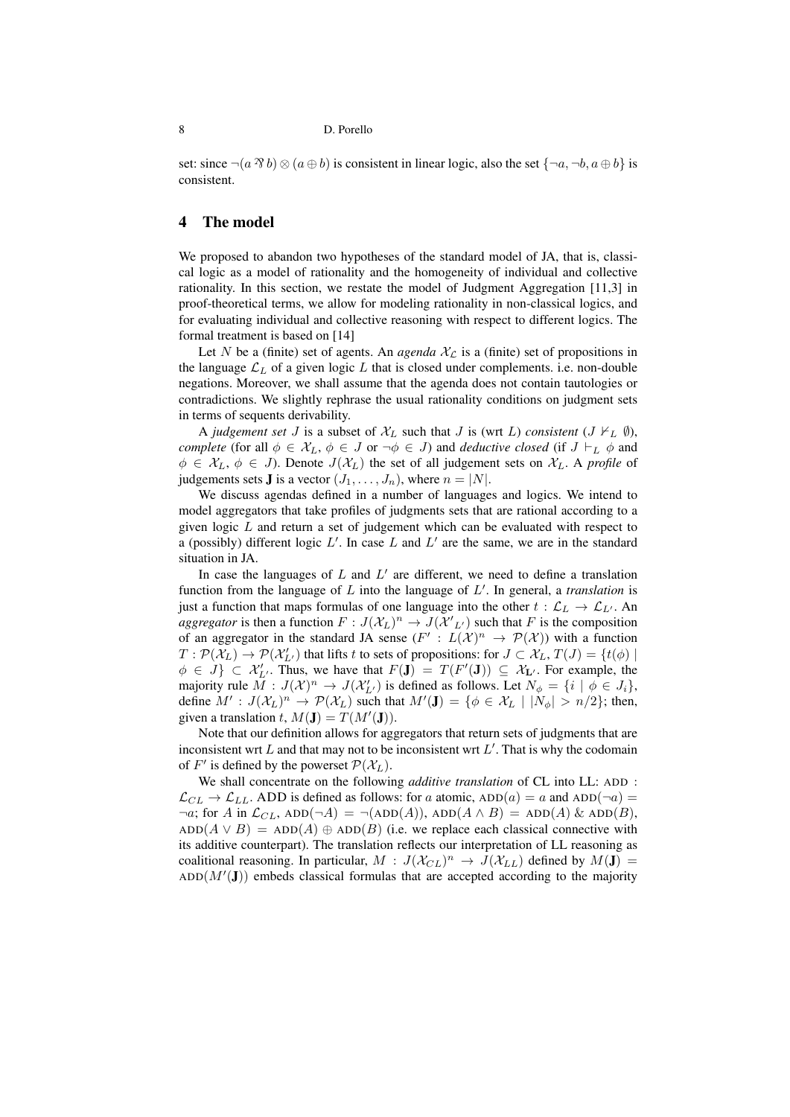set: since  $\neg(a \mathcal{B} b) \otimes (a \oplus b)$  is consistent in linear logic, also the set  $\{\neg a, \neg b, a \oplus b\}$  is consistent.

# 4 The model

We proposed to abandon two hypotheses of the standard model of JA, that is, classical logic as a model of rationality and the homogeneity of individual and collective rationality. In this section, we restate the model of Judgment Aggregation [11,3] in proof-theoretical terms, we allow for modeling rationality in non-classical logics, and for evaluating individual and collective reasoning with respect to different logics. The formal treatment is based on [14]

Let N be a (finite) set of agents. An *agenda*  $\mathcal{X}_{\mathcal{L}}$  is a (finite) set of propositions in the language  $\mathcal{L}_L$  of a given logic L that is closed under complements. i.e. non-double negations. Moreover, we shall assume that the agenda does not contain tautologies or contradictions. We slightly rephrase the usual rationality conditions on judgment sets in terms of sequents derivability.

A *judgement set* J is a subset of  $X_L$  such that J is (wrt L) *consistent* (J  $V_L$  Ø), *complete* (for all  $\phi \in \mathcal{X}_L$ ,  $\phi \in J$  or  $\neg \phi \in J$ ) and *deductive closed* (if  $J \vdash_L \phi$  and  $\phi \in \mathcal{X}_L$ ,  $\phi \in J$ ). Denote  $J(\mathcal{X}_L)$  the set of all judgement sets on  $\mathcal{X}_L$ . A *profile* of judgements sets **J** is a vector  $(J_1, \ldots, J_n)$ , where  $n = |N|$ .

We discuss agendas defined in a number of languages and logics. We intend to model aggregators that take profiles of judgments sets that are rational according to a given logic  $L$  and return a set of judgement which can be evaluated with respect to a (possibly) different logic  $L'$ . In case  $L$  and  $L'$  are the same, we are in the standard situation in JA.

In case the languages of  $L$  and  $L'$  are different, we need to define a translation function from the language of  $L$  into the language of  $L'$ . In general, a *translation* is just a function that maps formulas of one language into the other  $t : \mathcal{L}_L \to \mathcal{L}_{L'}$ . An *aggregator* is then a function  $F: J(\mathcal{X}_L)^n \to J(\mathcal{X'}_{L'})$  such that F is the composition of an aggregator in the standard JA sense  $(F': L(X)^n \to \mathcal{P}(\mathcal{X}))$  with a function  $T: \mathcal{P}(\mathcal{X}_L) \to \mathcal{P}(\mathcal{X}'_{L'})$  that lifts t to sets of propositions: for  $J \subset \mathcal{X}_L$ ,  $T(J) = \{t(\phi) \mid$  $\phi \in J$   $\subset \mathcal{X}'_{L'}$ . Thus, we have that  $F(\mathbf{J}) = T(F'(\mathbf{J})) \subseteq \mathcal{X}_{L'}$ . For example, the majority rule  $M: J(\mathcal{X})^n \to J(\mathcal{X}'_{L'})$  is defined as follows. Let  $N_{\phi} = \{i \mid \phi \in J_i\}$ , define  $M': J(\mathcal{X}_L)^n \to \mathcal{P}(\mathcal{X}_L)$  such that  $M'(\mathbf{J}) = \{ \phi \in \mathcal{X}_L \mid |N_{\phi}| > n/2 \};$  then, given a translation  $t$ ,  $M(\mathbf{J}) = T(M'(\mathbf{J}))$ .

Note that our definition allows for aggregators that return sets of judgments that are inconsistent wrt  $L$  and that may not to be inconsistent wrt  $L'$ . That is why the codomain of  $F'$  is defined by the powerset  $\mathcal{P}(\mathcal{X}_L)$ .

We shall concentrate on the following *additive translation* of CL into LL: ADD :  $\mathcal{L}_{CL} \rightarrow \mathcal{L}_{LL}$ . ADD is defined as follows: for a atomic, ADD(a) = a and ADD( $\neg a$ ) =  $\neg a$ ; for A in  $\mathcal{L}_{CL}$ , ADD( $\neg A$ ) =  $\neg (ADD(A))$ , ADD( $A \wedge B$ ) = ADD( $A$ ) & ADD( $B$ ),  $ADD(A \vee B) = ADD(A) \oplus ADD(B)$  (i.e. we replace each classical connective with its additive counterpart). The translation reflects our interpretation of LL reasoning as coalitional reasoning. In particular,  $M : J(\mathcal{X}_{CL})^n \to J(\mathcal{X}_{LL})$  defined by  $M(\mathbf{J}) =$  $ADD(M'({\bf J}))$  embeds classical formulas that are accepted according to the majority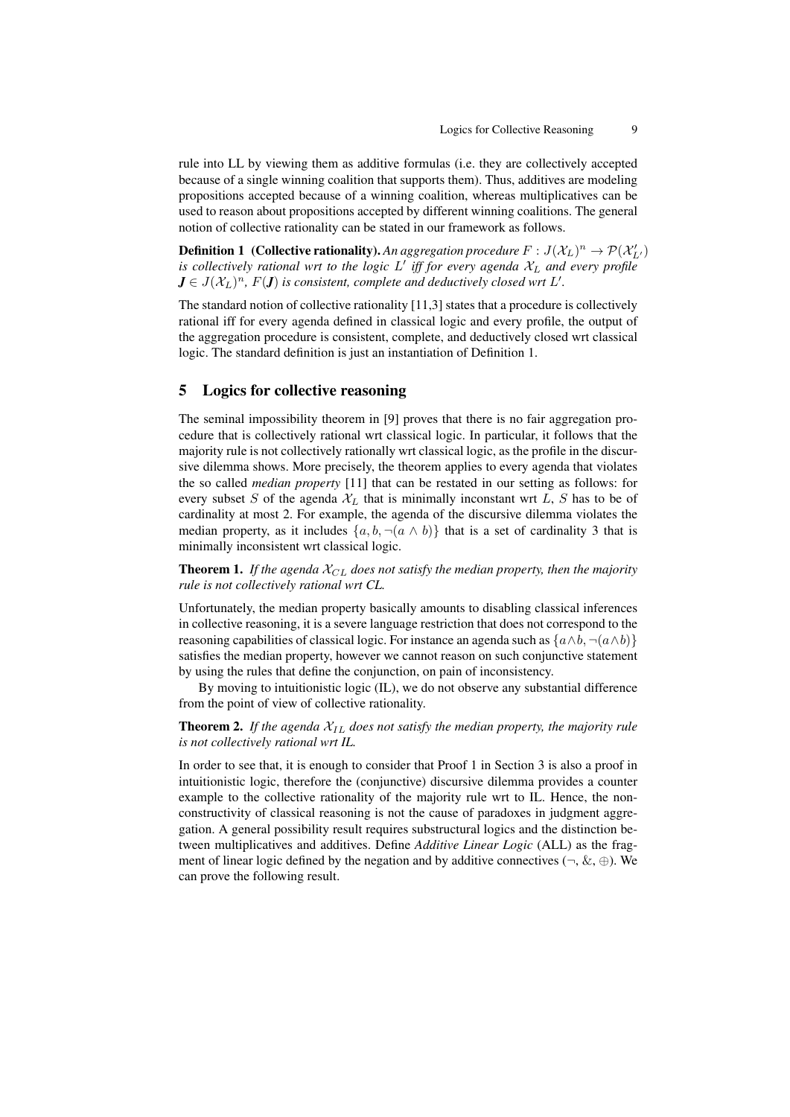rule into LL by viewing them as additive formulas (i.e. they are collectively accepted because of a single winning coalition that supports them). Thus, additives are modeling propositions accepted because of a winning coalition, whereas multiplicatives can be used to reason about propositions accepted by different winning coalitions. The general notion of collective rationality can be stated in our framework as follows.

**Definition 1** (Collective rationality). An aggregation procedure  $F : J(\mathcal{X}_L)^n \to \mathcal{P}(\mathcal{X}_{L'}')$ *is collectively rational wrt to the logic L' iff for every agenda*  $\mathcal{X}_L$  *and every profile*  $J \in J(\mathcal{X}_L)^n$ ,  $F(J)$  is consistent, complete and deductively closed wrt  $L'.$ 

The standard notion of collective rationality [11,3] states that a procedure is collectively rational iff for every agenda defined in classical logic and every profile, the output of the aggregation procedure is consistent, complete, and deductively closed wrt classical logic. The standard definition is just an instantiation of Definition 1.

# 5 Logics for collective reasoning

The seminal impossibility theorem in [9] proves that there is no fair aggregation procedure that is collectively rational wrt classical logic. In particular, it follows that the majority rule is not collectively rationally wrt classical logic, as the profile in the discursive dilemma shows. More precisely, the theorem applies to every agenda that violates the so called *median property* [11] that can be restated in our setting as follows: for every subset S of the agenda  $\mathcal{X}_L$  that is minimally inconstant wrt L, S has to be of cardinality at most 2. For example, the agenda of the discursive dilemma violates the median property, as it includes  $\{a, b, \neg(a \land b)\}\$  that is a set of cardinality 3 that is minimally inconsistent wrt classical logic.

**Theorem 1.** If the agenda  $X_{CL}$  does not satisfy the median property, then the majority *rule is not collectively rational wrt CL.*

Unfortunately, the median property basically amounts to disabling classical inferences in collective reasoning, it is a severe language restriction that does not correspond to the reasoning capabilities of classical logic. For instance an agenda such as  $\{a \wedge b, \neg (a \wedge b)\}$ satisfies the median property, however we cannot reason on such conjunctive statement by using the rules that define the conjunction, on pain of inconsistency.

By moving to intuitionistic logic (IL), we do not observe any substantial difference from the point of view of collective rationality.

**Theorem 2.** If the agenda  $X_{IL}$  does not satisfy the median property, the majority rule *is not collectively rational wrt IL.*

In order to see that, it is enough to consider that Proof 1 in Section 3 is also a proof in intuitionistic logic, therefore the (conjunctive) discursive dilemma provides a counter example to the collective rationality of the majority rule wrt to IL. Hence, the nonconstructivity of classical reasoning is not the cause of paradoxes in judgment aggregation. A general possibility result requires substructural logics and the distinction between multiplicatives and additives. Define *Additive Linear Logic* (ALL) as the fragment of linear logic defined by the negation and by additive connectives ( $\neg$ ,  $\&$ ,  $\oplus$ ). We can prove the following result.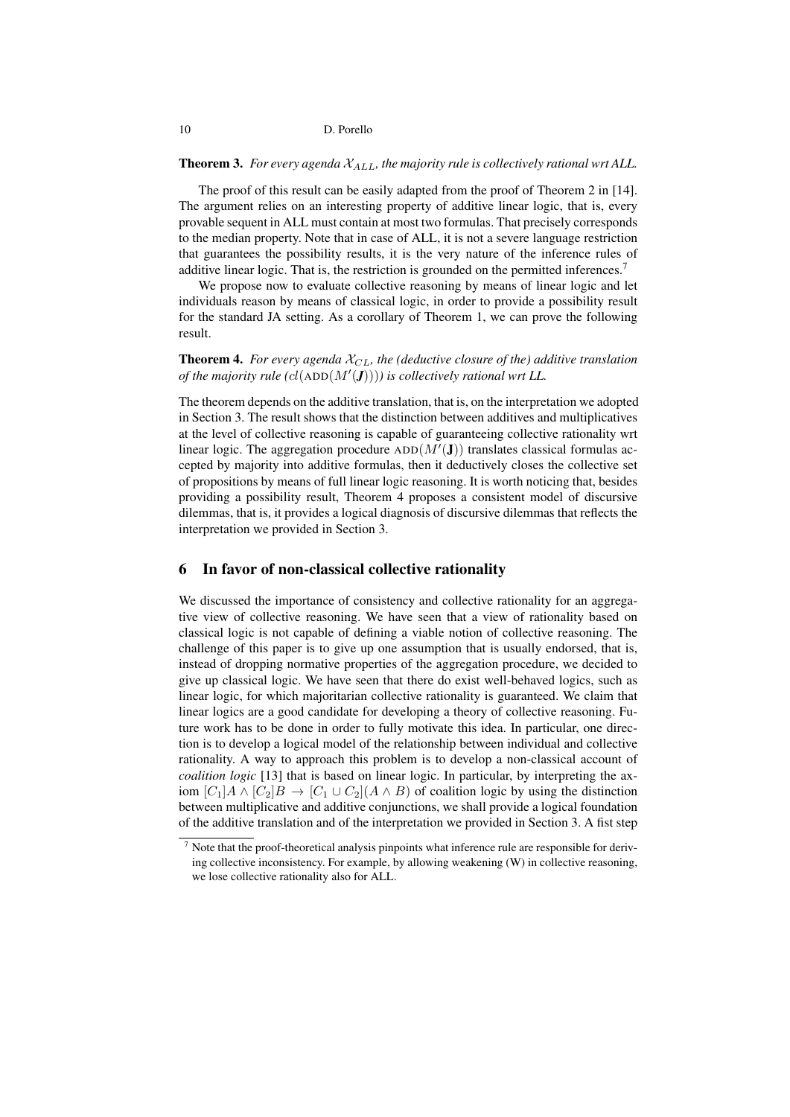#### **Theorem 3.** For every agenda  $X_{ALL}$ , the majority rule is collectively rational wrt ALL.

The proof of this result can be easily adapted from the proof of Theorem 2 in [14]. The argument relies on an interesting property of additive linear logic, that is, every provable sequent in ALL must contain at most two formulas. That precisely corresponds to the median property. Note that in case of ALL, it is not a severe language restriction that guarantees the possibility results, it is the very nature of the inference rules of additive linear logic. That is, the restriction is grounded on the permitted inferences.<sup>7</sup>

We propose now to evaluate collective reasoning by means of linear logic and let individuals reason by means of classical logic, in order to provide a possibility result for the standard JA setting. As a corollary of Theorem 1, we can prove the following result.

**Theorem 4.** For every agenda  $\mathcal{X}_{CL}$ , the (deductive closure of the) additive translation *of the majority rule (cl*(ADD $(M'(\textbf{J})))$ ) is collectively rational wrt LL.

The theorem depends on the additive translation, that is, on the interpretation we adopted in Section 3. The result shows that the distinction between additives and multiplicatives at the level of collective reasoning is capable of guaranteeing collective rationality wrt linear logic. The aggregation procedure  $ADD(M'(\mathbf{J}))$  translates classical formulas accepted by majority into additive formulas, then it deductively closes the collective set of propositions by means of full linear logic reasoning. It is worth noticing that, besides providing a possibility result, Theorem 4 proposes a consistent model of discursive dilemmas, that is, it provides a logical diagnosis of discursive dilemmas that reflects the interpretation we provided in Section 3.

# 6 In favor of non-classical collective rationality

We discussed the importance of consistency and collective rationality for an aggregative view of collective reasoning. We have seen that a view of rationality based on classical logic is not capable of defining a viable notion of collective reasoning. The challenge of this paper is to give up one assumption that is usually endorsed, that is, instead of dropping normative properties of the aggregation procedure, we decided to give up classical logic. We have seen that there do exist well-behaved logics, such as linear logic, for which majoritarian collective rationality is guaranteed. We claim that linear logics are a good candidate for developing a theory of collective reasoning. Future work has to be done in order to fully motivate this idea. In particular, one direction is to develop a logical model of the relationship between individual and collective rationality. A way to approach this problem is to develop a non-classical account of *coalition logic* [13] that is based on linear logic. In particular, by interpreting the axiom  $[C_1]A \wedge [C_2]B \rightarrow [C_1 \cup C_2](A \wedge B)$  of coalition logic by using the distinction between multiplicative and additive conjunctions, we shall provide a logical foundation of the additive translation and of the interpretation we provided in Section 3. A fist step

 $<sup>7</sup>$  Note that the proof-theoretical analysis pinpoints what inference rule are responsible for deriv-</sup> ing collective inconsistency. For example, by allowing weakening (W) in collective reasoning, we lose collective rationality also for ALL.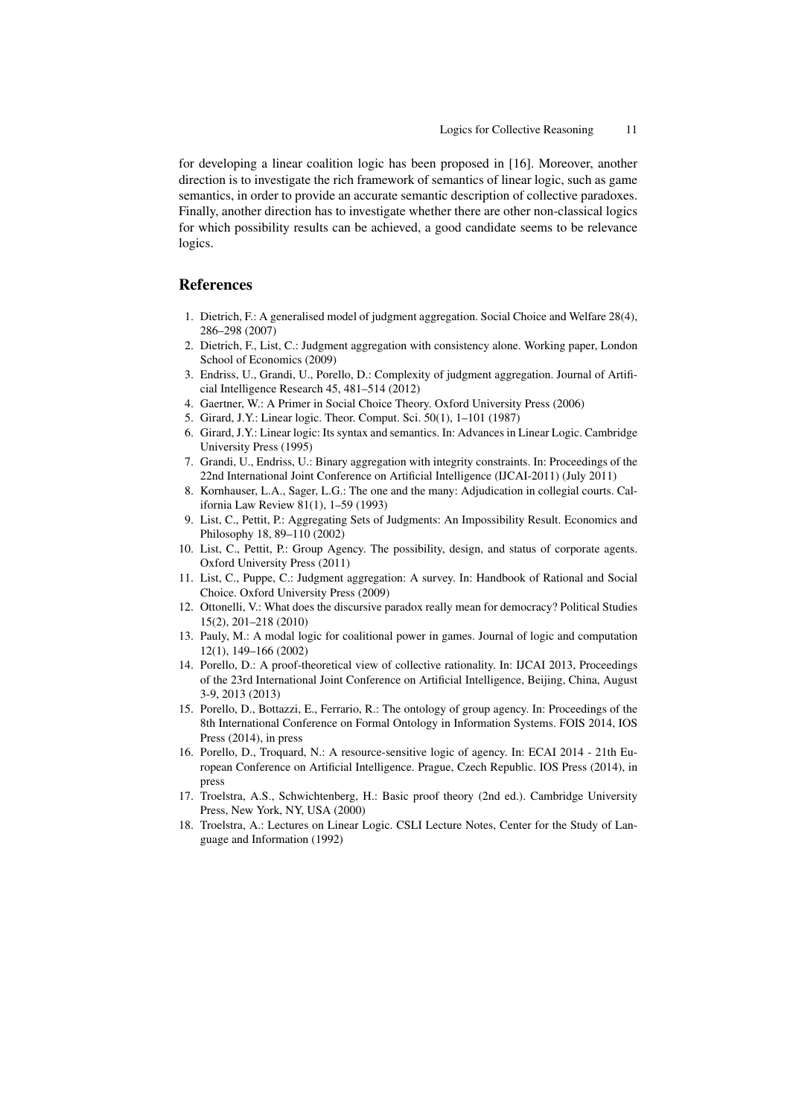for developing a linear coalition logic has been proposed in [16]. Moreover, another direction is to investigate the rich framework of semantics of linear logic, such as game semantics, in order to provide an accurate semantic description of collective paradoxes. Finally, another direction has to investigate whether there are other non-classical logics for which possibility results can be achieved, a good candidate seems to be relevance logics.

# References

- 1. Dietrich, F.: A generalised model of judgment aggregation. Social Choice and Welfare 28(4), 286–298 (2007)
- 2. Dietrich, F., List, C.: Judgment aggregation with consistency alone. Working paper, London School of Economics (2009)
- 3. Endriss, U., Grandi, U., Porello, D.: Complexity of judgment aggregation. Journal of Artificial Intelligence Research 45, 481–514 (2012)
- 4. Gaertner, W.: A Primer in Social Choice Theory. Oxford University Press (2006)
- 5. Girard, J.Y.: Linear logic. Theor. Comput. Sci. 50(1), 1–101 (1987)
- 6. Girard, J.Y.: Linear logic: Its syntax and semantics. In: Advances in Linear Logic. Cambridge University Press (1995)
- 7. Grandi, U., Endriss, U.: Binary aggregation with integrity constraints. In: Proceedings of the 22nd International Joint Conference on Artificial Intelligence (IJCAI-2011) (July 2011)
- 8. Kornhauser, L.A., Sager, L.G.: The one and the many: Adjudication in collegial courts. California Law Review 81(1), 1–59 (1993)
- 9. List, C., Pettit, P.: Aggregating Sets of Judgments: An Impossibility Result. Economics and Philosophy 18, 89–110 (2002)
- 10. List, C., Pettit, P.: Group Agency. The possibility, design, and status of corporate agents. Oxford University Press (2011)
- 11. List, C., Puppe, C.: Judgment aggregation: A survey. In: Handbook of Rational and Social Choice. Oxford University Press (2009)
- 12. Ottonelli, V.: What does the discursive paradox really mean for democracy? Political Studies 15(2), 201–218 (2010)
- 13. Pauly, M.: A modal logic for coalitional power in games. Journal of logic and computation 12(1), 149–166 (2002)
- 14. Porello, D.: A proof-theoretical view of collective rationality. In: IJCAI 2013, Proceedings of the 23rd International Joint Conference on Artificial Intelligence, Beijing, China, August 3-9, 2013 (2013)
- 15. Porello, D., Bottazzi, E., Ferrario, R.: The ontology of group agency. In: Proceedings of the 8th International Conference on Formal Ontology in Information Systems. FOIS 2014, IOS Press (2014), in press
- 16. Porello, D., Troquard, N.: A resource-sensitive logic of agency. In: ECAI 2014 21th European Conference on Artificial Intelligence. Prague, Czech Republic. IOS Press (2014), in press
- 17. Troelstra, A.S., Schwichtenberg, H.: Basic proof theory (2nd ed.). Cambridge University Press, New York, NY, USA (2000)
- 18. Troelstra, A.: Lectures on Linear Logic. CSLI Lecture Notes, Center for the Study of Language and Information (1992)